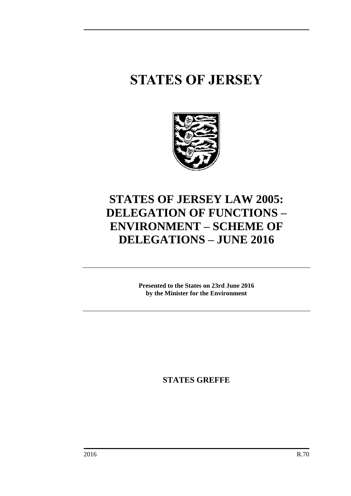# **STATES OF JERSEY**



# **STATES OF JERSEY LAW 2005: DELEGATION OF FUNCTIONS – ENVIRONMENT – SCHEME OF DELEGATIONS – JUNE 2016**

**Presented to the States on 23rd June 2016 by the Minister for the Environment**

**STATES GREFFE**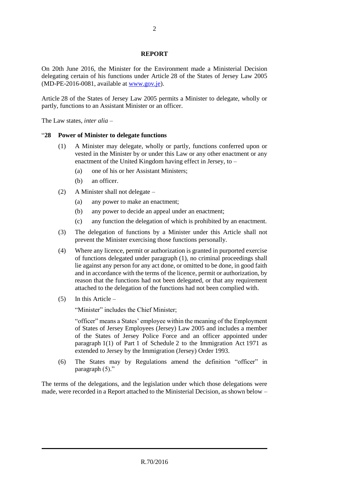#### **REPORT**

On 20th June 2016, the Minister for the Environment made a Ministerial Decision delegating certain of his functions under Article 28 of the States of Jersey Law 2005 (MD-PE-2016-0081, available at [www.gov.je\)](http://www.gov.je/).

Article 28 of the States of Jersey Law 2005 permits a Minister to delegate, wholly or partly, functions to an Assistant Minister or an officer.

The Law states, *inter alia* –

#### "**28 Power of Minister to delegate functions**

- (1) A Minister may delegate, wholly or partly, functions conferred upon or vested in the Minister by or under this Law or any other enactment or any enactment of the United Kingdom having effect in Jersey, to –
	- (a) one of his or her Assistant Ministers;
	- (b) an officer.
- (2) A Minister shall not delegate
	- (a) any power to make an enactment;
	- (b) any power to decide an appeal under an enactment;
	- (c) any function the delegation of which is prohibited by an enactment.
- (3) The delegation of functions by a Minister under this Article shall not prevent the Minister exercising those functions personally.
- (4) Where any licence, permit or authorization is granted in purported exercise of functions delegated under paragraph (1), no criminal proceedings shall lie against any person for any act done, or omitted to be done, in good faith and in accordance with the terms of the licence, permit or authorization, by reason that the functions had not been delegated, or that any requirement attached to the delegation of the functions had not been complied with.
- (5) In this Article –

"Minister" includes the Chief Minister;

"officer" means a States' employee within the meaning of the Employment of States of Jersey Employees (Jersey) Law 2005 and includes a member of the States of Jersey Police Force and an officer appointed under paragraph 1(1) of Part 1 of Schedule 2 to the Immigration Act 1971 as extended to Jersey by the Immigration (Jersey) Order 1993.

(6) The States may by Regulations amend the definition "officer" in paragraph (5)."

The terms of the delegations, and the legislation under which those delegations were made, were recorded in a Report attached to the Ministerial Decision, as shown below –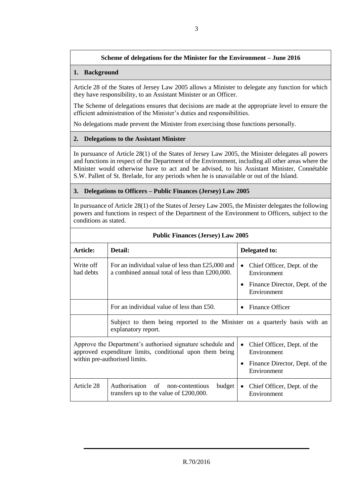# **Scheme of delegations for the Minister for the Environment – June 2016**

#### **1. Background**

Article 28 of the States of Jersey Law 2005 allows a Minister to delegate any function for which they have responsibility, to an Assistant Minister or an Officer.

The Scheme of delegations ensures that decisions are made at the appropriate level to ensure the efficient administration of the Minister's duties and responsibilities.

No delegations made prevent the Minister from exercising those functions personally.

#### **2. Delegations to the Assistant Minister**

In pursuance of Article 28(1) of the States of Jersey Law 2005, the Minister delegates all powers and functions in respect of the Department of the Environment, including all other areas where the Minister would otherwise have to act and be advised, to his Assistant Minister, Connétable S.W. Pallett of St. Brelade, for any periods when he is unavailable or out of the Island.

#### **3. Delegations to Officers – Public Finances (Jersey) Law 2005**

In pursuance of Article 28(1) of the States of Jersey Law 2005, the Minister delegates the following powers and functions in respect of the Department of the Environment to Officers, subject to the conditions as stated.

| <b>Public Finances (Jersey) Law 2005</b>                                                                                                                |                                                                                                          |                                                                                                          |  |
|---------------------------------------------------------------------------------------------------------------------------------------------------------|----------------------------------------------------------------------------------------------------------|----------------------------------------------------------------------------------------------------------|--|
| Article:                                                                                                                                                | Detail:                                                                                                  | Delegated to:                                                                                            |  |
| Write off<br>bad debts                                                                                                                                  | For an individual value of less than $£25,000$ and<br>a combined annual total of less than £200,000.     | Chief Officer, Dept. of the<br>$\bullet$<br>Environment<br>Finance Director, Dept. of the<br>Environment |  |
|                                                                                                                                                         | For an individual value of less than £50.                                                                | Finance Officer                                                                                          |  |
|                                                                                                                                                         | Subject to them being reported to the Minister on a quarterly basis with an<br>explanatory report.       |                                                                                                          |  |
| Approve the Department's authorised signature schedule and<br>approved expenditure limits, conditional upon them being<br>within pre-authorised limits. |                                                                                                          | Chief Officer, Dept. of the<br>$\bullet$<br>Environment                                                  |  |
|                                                                                                                                                         |                                                                                                          | Finance Director, Dept. of the<br>٠<br>Environment                                                       |  |
| Article 28                                                                                                                                              | Authorisation<br><sub>of</sub><br>budget<br>non-contentious<br>transfers up to the value of $£200,000$ . | Chief Officer, Dept. of the<br>$\bullet$<br>Environment                                                  |  |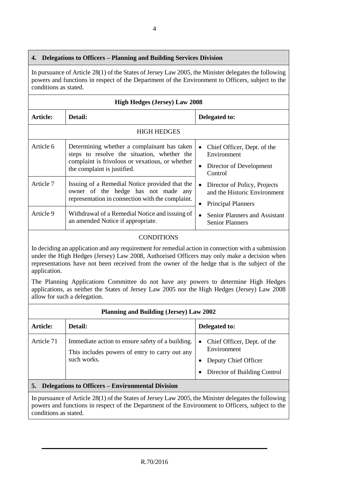# **4. Delegations to Officers – Planning and Building Services Division**

In pursuance of Article 28(1) of the States of Jersey Law 2005, the Minister delegates the following powers and functions in respect of the Department of the Environment to Officers, subject to the conditions as stated.

| <b>High Hedges (Jersey) Law 2008</b> |                                                                                                                                                                              |                                                                                                            |  |
|--------------------------------------|------------------------------------------------------------------------------------------------------------------------------------------------------------------------------|------------------------------------------------------------------------------------------------------------|--|
| Article:                             | Detail:                                                                                                                                                                      | Delegated to:                                                                                              |  |
| <b>HIGH HEDGES</b>                   |                                                                                                                                                                              |                                                                                                            |  |
| Article 6                            | Determining whether a complainant has taken<br>steps to resolve the situation, whether the<br>complaint is frivolous or vexatious, or whether<br>the complaint is justified. | Chief Officer, Dept. of the<br>$\bullet$<br>Environment<br>Director of Development<br>$\bullet$<br>Control |  |
| Article 7                            | Issuing of a Remedial Notice provided that the<br>owner of the hedge has not made any<br>representation in connection with the complaint.                                    | Director of Policy, Projects<br>$\bullet$<br>and the Historic Environment<br><b>Principal Planners</b>     |  |
| Article 9                            | Withdrawal of a Remedial Notice and issuing of<br>an amended Notice if appropriate.                                                                                          | Senior Planners and Assistant<br>$\bullet$<br><b>Senior Planners</b>                                       |  |

### CONDITIONS

In deciding an application and any requirement for remedial action in connection with a submission under the High Hedges (Jersey) Law 2008, Authorised Officers may only make a decision when representations have not been received from the owner of the hedge that is the subject of the application.

The Planning Applications Committee do not have any powers to determine High Hedges applications, as neither the States of Jersey Law 2005 nor the High Hedges (Jersey) Law 2008 allow for such a delegation.

| Planning and Building (Jersey) Law 2002                       |                                                                                                                   |                                                                                                                              |  |
|---------------------------------------------------------------|-------------------------------------------------------------------------------------------------------------------|------------------------------------------------------------------------------------------------------------------------------|--|
| Article:                                                      | Detail:                                                                                                           | Delegated to:                                                                                                                |  |
| Article 71                                                    | Immediate action to ensure safety of a building.<br>This includes powers of entry to carry out any<br>such works. | Chief Officer, Dept. of the<br>$\bullet$<br>Environment<br>Deputy Chief Officer<br>Director of Building Control<br>$\bullet$ |  |
| <b>Delegations to Officers – Environmental Division</b><br>5. |                                                                                                                   |                                                                                                                              |  |

In pursuance of Article 28(1) of the States of Jersey Law 2005, the Minister delegates the following powers and functions in respect of the Department of the Environment to Officers, subject to the conditions as stated.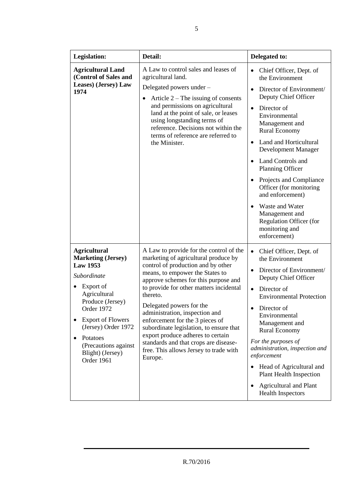| <b>Legislation:</b>                                                                                                                                                                                                                                                        | Detail:                                                                                                                                                                                                                                                                                                                                                                                                                                                                                                                                | Delegated to:                                                                                                                                                                                                                                                                                                                                                                                                                                                                                                                       |
|----------------------------------------------------------------------------------------------------------------------------------------------------------------------------------------------------------------------------------------------------------------------------|----------------------------------------------------------------------------------------------------------------------------------------------------------------------------------------------------------------------------------------------------------------------------------------------------------------------------------------------------------------------------------------------------------------------------------------------------------------------------------------------------------------------------------------|-------------------------------------------------------------------------------------------------------------------------------------------------------------------------------------------------------------------------------------------------------------------------------------------------------------------------------------------------------------------------------------------------------------------------------------------------------------------------------------------------------------------------------------|
| <b>Agricultural Land</b><br>(Control of Sales and<br>Leases) (Jersey) Law<br>1974                                                                                                                                                                                          | A Law to control sales and leases of<br>agricultural land.<br>Delegated powers under -<br>Article $2$ – The issuing of consents<br>and permissions on agricultural<br>land at the point of sale, or leases<br>using longstanding terms of<br>reference. Decisions not within the<br>terms of reference are referred to<br>the Minister.                                                                                                                                                                                                | Chief Officer, Dept. of<br>$\bullet$<br>the Environment<br>Director of Environment/<br>$\bullet$<br>Deputy Chief Officer<br>Director of<br>$\bullet$<br>Environmental<br>Management and<br><b>Rural Economy</b><br>Land and Horticultural<br>$\bullet$<br>Development Manager<br><b>Land Controls and</b><br>$\bullet$<br>Planning Officer<br>Projects and Compliance<br>Officer (for monitoring<br>and enforcement)<br>Waste and Water<br>$\bullet$<br>Management and<br>Regulation Officer (for<br>monitoring and<br>enforcement) |
| <b>Agricultural</b><br><b>Marketing (Jersey)</b><br><b>Law 1953</b><br>Subordinate<br>Export of<br>Agricultural<br>Produce (Jersey)<br>Order 1972<br><b>Export of Flowers</b><br>(Jersey) Order 1972<br>Potatoes<br>(Precautions against<br>Blight) (Jersey)<br>Order 1961 | A Law to provide for the control of the<br>marketing of agricultural produce by<br>control of production and by other<br>means, to empower the States to<br>approve schemes for this purpose and<br>to provide for other matters incidental<br>thereto.<br>Delegated powers for the<br>administration, inspection and<br>enforcement for the 3 pieces of<br>subordinate legislation, to ensure that<br>export produce adheres to certain<br>standards and that crops are disease-<br>free. This allows Jersey to trade with<br>Europe. | Chief Officer, Dept. of<br>$\bullet$<br>the Environment<br>Director of Environment/<br>$\bullet$<br>Deputy Chief Officer<br>Director of<br>$\bullet$<br><b>Environmental Protection</b><br>Director of<br>$\bullet$<br>Environmental<br>Management and<br><b>Rural Economy</b><br>For the purposes of<br>administration, inspection and<br>enforcement<br>Head of Agricultural and<br>$\bullet$<br><b>Plant Health Inspection</b><br><b>Agricultural and Plant</b><br>$\bullet$<br><b>Health Inspectors</b>                         |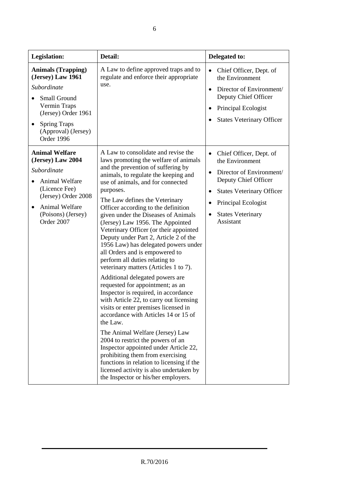| <b>Legislation:</b>                                                                                                                                                              | Detail:                                                                                                                                                                                                                                                                                                                                                                                                                                                                                                                                                                                                                                                                                                                                                                                                                                                                                                                                                                                                                                                                                                                                            | Delegated to:                                                                                                                                                                                                                |
|----------------------------------------------------------------------------------------------------------------------------------------------------------------------------------|----------------------------------------------------------------------------------------------------------------------------------------------------------------------------------------------------------------------------------------------------------------------------------------------------------------------------------------------------------------------------------------------------------------------------------------------------------------------------------------------------------------------------------------------------------------------------------------------------------------------------------------------------------------------------------------------------------------------------------------------------------------------------------------------------------------------------------------------------------------------------------------------------------------------------------------------------------------------------------------------------------------------------------------------------------------------------------------------------------------------------------------------------|------------------------------------------------------------------------------------------------------------------------------------------------------------------------------------------------------------------------------|
| <b>Animals (Trapping)</b><br>(Jersey) Law 1961<br>Subordinate<br>Small Ground<br>Vermin Traps<br>(Jersey) Order 1961<br><b>Spring Traps</b><br>(Approval) (Jersey)<br>Order 1996 | A Law to define approved traps and to<br>regulate and enforce their appropriate<br>use.                                                                                                                                                                                                                                                                                                                                                                                                                                                                                                                                                                                                                                                                                                                                                                                                                                                                                                                                                                                                                                                            | Chief Officer, Dept. of<br>$\bullet$<br>the Environment<br>Director of Environment/<br>$\bullet$<br>Deputy Chief Officer<br>Principal Ecologist<br><b>States Veterinary Officer</b>                                          |
| <b>Animal Welfare</b><br>(Jersey) Law 2004<br>Subordinate<br>Animal Welfare<br>(Licence Fee)<br>(Jersey) Order 2008<br>Animal Welfare<br>(Poisons) (Jersey)<br>Order 2007        | A Law to consolidate and revise the<br>laws promoting the welfare of animals<br>and the prevention of suffering by<br>animals, to regulate the keeping and<br>use of animals, and for connected<br>purposes.<br>The Law defines the Veterinary<br>Officer according to the definition<br>given under the Diseases of Animals<br>(Jersey) Law 1956. The Appointed<br>Veterinary Officer (or their appointed<br>Deputy under Part 2, Article 2 of the<br>1956 Law) has delegated powers under<br>all Orders and is empowered to<br>perform all duties relating to<br>veterinary matters (Articles 1 to 7).<br>Additional delegated powers are<br>requested for appointment; as an<br>Inspector is required, in accordance<br>with Article 22, to carry out licensing<br>visits or enter premises licensed in<br>accordance with Articles 14 or 15 of<br>the Law.<br>The Animal Welfare (Jersey) Law<br>2004 to restrict the powers of an<br>Inspector appointed under Article 22,<br>prohibiting them from exercising<br>functions in relation to licensing if the<br>licensed activity is also undertaken by<br>the Inspector or his/her employers. | Chief Officer, Dept. of<br>$\bullet$<br>the Environment<br>Director of Environment/<br>$\bullet$<br>Deputy Chief Officer<br><b>States Veterinary Officer</b><br>Principal Ecologist<br><b>States Veterinary</b><br>Assistant |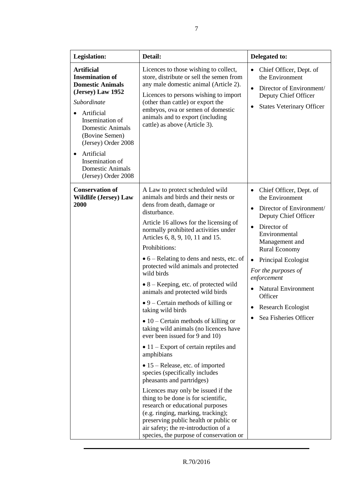| <b>Legislation:</b>                                                                                                                                                                                                                                                                                | Detail:                                                                                                                                                                                                                                                                                                                                                                                                                                                                                                                                                                                                                                                                                                                                                                                                                                                                                                                                                                                                                                                                                                                  | Delegated to:                                                                                                                                                                                                                                                                                                                                                                    |
|----------------------------------------------------------------------------------------------------------------------------------------------------------------------------------------------------------------------------------------------------------------------------------------------------|--------------------------------------------------------------------------------------------------------------------------------------------------------------------------------------------------------------------------------------------------------------------------------------------------------------------------------------------------------------------------------------------------------------------------------------------------------------------------------------------------------------------------------------------------------------------------------------------------------------------------------------------------------------------------------------------------------------------------------------------------------------------------------------------------------------------------------------------------------------------------------------------------------------------------------------------------------------------------------------------------------------------------------------------------------------------------------------------------------------------------|----------------------------------------------------------------------------------------------------------------------------------------------------------------------------------------------------------------------------------------------------------------------------------------------------------------------------------------------------------------------------------|
| <b>Artificial</b><br><b>Insemination of</b><br><b>Domestic Animals</b><br>(Jersey) Law 1952<br>Subordinate<br>Artificial<br>Insemination of<br><b>Domestic Animals</b><br>(Bovine Semen)<br>(Jersey) Order 2008<br>Artificial<br>Insemination of<br><b>Domestic Animals</b><br>(Jersey) Order 2008 | Licences to those wishing to collect,<br>store, distribute or sell the semen from<br>any male domestic animal (Article 2).<br>Licences to persons wishing to import<br>(other than cattle) or export the<br>embryos, ova or semen of domestic<br>animals and to export (including<br>cattle) as above (Article 3).                                                                                                                                                                                                                                                                                                                                                                                                                                                                                                                                                                                                                                                                                                                                                                                                       | Chief Officer, Dept. of<br>$\bullet$<br>the Environment<br>Director of Environment/<br>$\bullet$<br>Deputy Chief Officer<br><b>States Veterinary Officer</b><br>$\bullet$                                                                                                                                                                                                        |
| <b>Conservation of</b><br><b>Wildlife (Jersey) Law</b><br>2000                                                                                                                                                                                                                                     | A Law to protect scheduled wild<br>animals and birds and their nests or<br>dens from death, damage or<br>disturbance.<br>Article 16 allows for the licensing of<br>normally prohibited activities under<br>Articles 6, 8, 9, 10, 11 and 15.<br>Prohibitions:<br>$\bullet$ 6 – Relating to dens and nests, etc. of<br>protected wild animals and protected<br>wild birds<br>$\bullet$ 8 – Keeping, etc. of protected wild<br>animals and protected wild birds<br>$\bullet$ 9 – Certain methods of killing or<br>taking wild birds<br>$\bullet$ 10 – Certain methods of killing or<br>taking wild animals (no licences have<br>ever been issued for 9 and 10)<br>$\bullet$ 11 – Export of certain reptiles and<br>amphibians<br>$\bullet$ 15 – Release, etc. of imported<br>species (specifically includes<br>pheasants and partridges)<br>Licences may only be issued if the<br>thing to be done is for scientific,<br>research or educational purposes<br>(e.g. ringing, marking, tracking);<br>preserving public health or public or<br>air safety; the re-introduction of a<br>species, the purpose of conservation or | Chief Officer, Dept. of<br>$\bullet$<br>the Environment<br>Director of Environment/<br>$\bullet$<br>Deputy Chief Officer<br>Director of<br>$\bullet$<br>Environmental<br>Management and<br><b>Rural Economy</b><br>Principal Ecologist<br>٠<br>For the purposes of<br>enforcement<br><b>Natural Environment</b><br>Officer<br><b>Research Ecologist</b><br>Sea Fisheries Officer |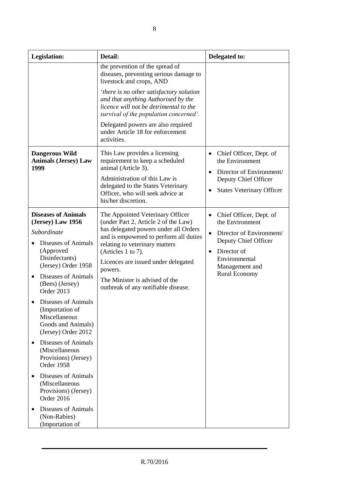| <b>Legislation:</b>                                          |                                                                                                             | Detail:                                                                                                                                                             | Delegated to:                                                                                    |
|--------------------------------------------------------------|-------------------------------------------------------------------------------------------------------------|---------------------------------------------------------------------------------------------------------------------------------------------------------------------|--------------------------------------------------------------------------------------------------|
|                                                              |                                                                                                             | the prevention of the spread of<br>diseases, preventing serious damage to<br>livestock and crops, AND                                                               |                                                                                                  |
|                                                              |                                                                                                             | 'there is no other satisfactory solution<br>and that anything Authorised by the<br>licence will not be detrimental to the<br>survival of the population concerned'. |                                                                                                  |
|                                                              |                                                                                                             | Delegated powers are also required<br>under Article 18 for enforcement<br>activities.                                                                               |                                                                                                  |
| <b>Dangerous Wild</b><br><b>Animals (Jersey) Law</b><br>1999 |                                                                                                             | This Law provides a licensing<br>requirement to keep a scheduled<br>animal (Article 3).                                                                             | Chief Officer, Dept. of<br>$\bullet$<br>the Environment<br>Director of Environment/<br>$\bullet$ |
|                                                              |                                                                                                             | Administration of this Law is<br>delegated to the States Veterinary<br>Officer, who will seek advice at<br>his/her discretion.                                      | Deputy Chief Officer<br><b>States Veterinary Officer</b><br>$\bullet$                            |
|                                                              | <b>Diseases of Animals</b><br>(Jersey) Law 1956                                                             | The Appointed Veterinary Officer<br>(under Part 2, Article 2 of the Law)                                                                                            | Chief Officer, Dept. of<br>$\bullet$<br>the Environment                                          |
|                                                              | Subordinate                                                                                                 | has delegated powers under all Orders<br>and is empowered to perform all duties                                                                                     | Director of Environment/<br>$\bullet$                                                            |
|                                                              | Diseases of Animals<br>(Approved                                                                            | relating to veterinary matters                                                                                                                                      | Deputy Chief Officer                                                                             |
|                                                              | Disinfectants)<br>(Jersey) Order 1958                                                                       | (Articles 1 to 7).<br>Licences are issued under delegated<br>powers.                                                                                                | Director of<br>$\bullet$<br>Environmental<br>Management and                                      |
|                                                              | Diseases of Animals<br>(Bees) (Jersey)<br>Order 2013                                                        | The Minister is advised of the<br>outbreak of any notifiable disease.                                                                                               | <b>Rural Economy</b>                                                                             |
|                                                              | <b>Diseases of Animals</b><br>(Importation of<br>Miscellaneous<br>Goods and Animals)<br>(Jersey) Order 2012 |                                                                                                                                                                     |                                                                                                  |
| $\bullet$                                                    | Diseases of Animals<br>(Miscellaneous<br>Provisions) (Jersey)<br>Order 1958                                 |                                                                                                                                                                     |                                                                                                  |
|                                                              | Diseases of Animals<br>(Miscellaneous<br>Provisions) (Jersey)<br>Order 2016                                 |                                                                                                                                                                     |                                                                                                  |
|                                                              | Diseases of Animals<br>(Non-Rabies)<br>(Importation of                                                      |                                                                                                                                                                     |                                                                                                  |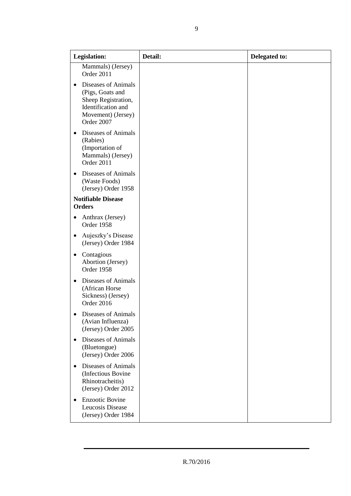| <b>Legislation:</b>                                                                                                                   | Detail: | Delegated to: |
|---------------------------------------------------------------------------------------------------------------------------------------|---------|---------------|
| Mammals) (Jersey)<br>Order 2011                                                                                                       |         |               |
| Diseases of Animals<br>$\bullet$<br>(Pigs, Goats and<br>Sheep Registration,<br>Identification and<br>Movement) (Jersey)<br>Order 2007 |         |               |
| Diseases of Animals<br>$\bullet$<br>(Rabies)<br>(Importation of<br>Mammals) (Jersey)<br>Order 2011                                    |         |               |
| Diseases of Animals<br>$\bullet$<br>(Waste Foods)<br>(Jersey) Order 1958                                                              |         |               |
| <b>Notifiable Disease</b><br><b>Orders</b>                                                                                            |         |               |
| Anthrax (Jersey)<br>$\bullet$<br>Order 1958                                                                                           |         |               |
| Aujeszky's Disease<br>$\bullet$<br>(Jersey) Order 1984                                                                                |         |               |
| Contagious<br>٠<br>Abortion (Jersey)<br>Order 1958                                                                                    |         |               |
| Diseases of Animals<br>$\bullet$<br>(African Horse<br>Sickness) (Jersey)<br>Order 2016                                                |         |               |
| <b>Diseases of Animals</b><br>(Avian Influenza)<br>(Jersey) Order 2005                                                                |         |               |
| Diseases of Animals<br>$\bullet$<br>(Bluetongue)<br>(Jersey) Order 2006                                                               |         |               |
| Diseases of Animals<br>$\bullet$<br>(Infectious Bovine<br>Rhinotracheitis)<br>(Jersey) Order 2012                                     |         |               |
| <b>Enzootic Bovine</b><br>$\bullet$<br>Leucosis Disease<br>(Jersey) Order 1984                                                        |         |               |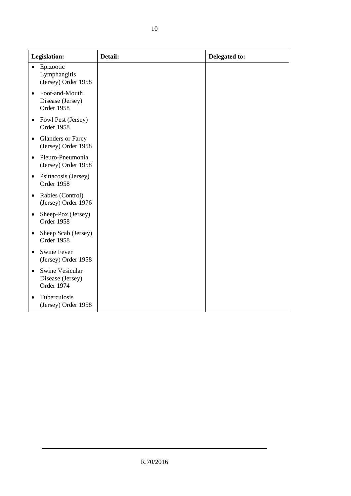| <b>Legislation:</b>                                           | Detail: | Delegated to: |
|---------------------------------------------------------------|---------|---------------|
| Epizootic<br>$\bullet$<br>Lymphangitis<br>(Jersey) Order 1958 |         |               |
| Foot-and-Mouth<br>Disease (Jersey)<br>Order 1958              |         |               |
| Fowl Pest (Jersey)<br>$\bullet$<br>Order 1958                 |         |               |
| <b>Glanders or Farcy</b><br>$\bullet$<br>(Jersey) Order 1958  |         |               |
| Pleuro-Pneumonia<br>$\bullet$<br>(Jersey) Order 1958          |         |               |
| Psittacosis (Jersey)<br>$\bullet$<br>Order 1958               |         |               |
| Rabies (Control)<br>$\bullet$<br>(Jersey) Order 1976          |         |               |
| Sheep-Pox (Jersey)<br>$\bullet$<br>Order 1958                 |         |               |
| Sheep Scab (Jersey)<br>٠<br>Order 1958                        |         |               |
| <b>Swine Fever</b><br>(Jersey) Order 1958                     |         |               |
| Swine Vesicular<br>Disease (Jersey)<br>Order 1974             |         |               |
| Tuberculosis<br>(Jersey) Order 1958                           |         |               |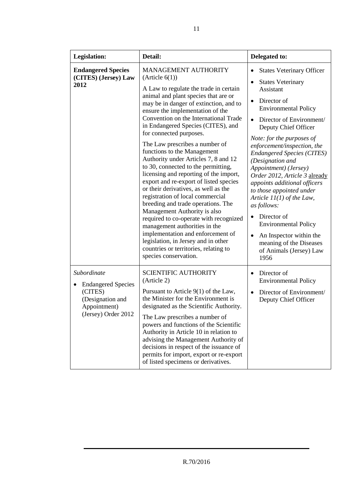| Legislation:                                                                                                   | Detail:                                                                                                                                                                                                                                                                                                                                                                                                                                                                                                                                                                                                                                                                                                                                                                                                                                                                                                                                | Delegated to:                                                                                                                                                                                                                                                                                                                                                                                                                                                                                                                                                                                                                                      |
|----------------------------------------------------------------------------------------------------------------|----------------------------------------------------------------------------------------------------------------------------------------------------------------------------------------------------------------------------------------------------------------------------------------------------------------------------------------------------------------------------------------------------------------------------------------------------------------------------------------------------------------------------------------------------------------------------------------------------------------------------------------------------------------------------------------------------------------------------------------------------------------------------------------------------------------------------------------------------------------------------------------------------------------------------------------|----------------------------------------------------------------------------------------------------------------------------------------------------------------------------------------------------------------------------------------------------------------------------------------------------------------------------------------------------------------------------------------------------------------------------------------------------------------------------------------------------------------------------------------------------------------------------------------------------------------------------------------------------|
| <b>Endangered Species</b><br>(CITES) (Jersey) Law<br>2012                                                      | <b>MANAGEMENT AUTHORITY</b><br>(Article 6(1))<br>A Law to regulate the trade in certain<br>animal and plant species that are or<br>may be in danger of extinction, and to<br>ensure the implementation of the<br>Convention on the International Trade<br>in Endangered Species (CITES), and<br>for connected purposes.<br>The Law prescribes a number of<br>functions to the Management<br>Authority under Articles 7, 8 and 12<br>to 30, connected to the permitting,<br>licensing and reporting of the import,<br>export and re-export of listed species<br>or their derivatives, as well as the<br>registration of local commercial<br>breeding and trade operations. The<br>Management Authority is also<br>required to co-operate with recognized<br>management authorities in the<br>implementation and enforcement of<br>legislation, in Jersey and in other<br>countries or territories, relating to<br>species conservation. | <b>States Veterinary Officer</b><br><b>States Veterinary</b><br>$\bullet$<br>Assistant<br>Director of<br>$\bullet$<br><b>Environmental Policy</b><br>Director of Environment/<br>$\bullet$<br>Deputy Chief Officer<br>Note: for the purposes of<br>enforcement/inspection, the<br><b>Endangered Species (CITES)</b><br>(Designation and<br>Appointment) (Jersey)<br>Order 2012, Article 3 already<br>appoints additional officers<br>to those appointed under<br>Article $11(1)$ of the Law,<br>as follows:<br>Director of<br><b>Environmental Policy</b><br>An Inspector within the<br>meaning of the Diseases<br>of Animals (Jersey) Law<br>1956 |
| Subordinate<br><b>Endangered Species</b><br>(CITES)<br>(Designation and<br>Appointment)<br>(Jersey) Order 2012 | <b>SCIENTIFIC AUTHORITY</b><br>(Article 2)<br>Pursuant to Article $9(1)$ of the Law,<br>the Minister for the Environment is<br>designated as the Scientific Authority.<br>The Law prescribes a number of<br>powers and functions of the Scientific<br>Authority in Article 10 in relation to<br>advising the Management Authority of<br>decisions in respect of the issuance of<br>permits for import, export or re-export<br>of listed specimens or derivatives.                                                                                                                                                                                                                                                                                                                                                                                                                                                                      | Director of<br>$\bullet$<br><b>Environmental Policy</b><br>Director of Environment/<br>Deputy Chief Officer                                                                                                                                                                                                                                                                                                                                                                                                                                                                                                                                        |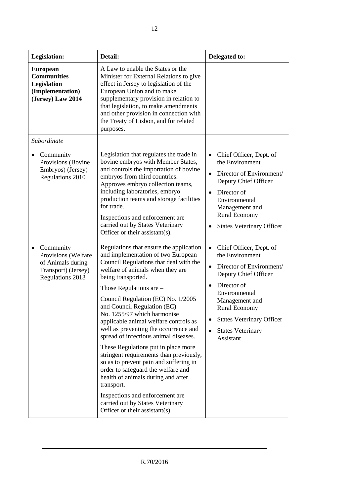| <b>Legislation:</b>                                                                                          | Detail:                                                                                                                                                                                                                                                                                                                                                                                                                                                                                                                                                                                                                                                                                                                                    | Delegated to:                                                                                                                                                                                                                                                                   |
|--------------------------------------------------------------------------------------------------------------|--------------------------------------------------------------------------------------------------------------------------------------------------------------------------------------------------------------------------------------------------------------------------------------------------------------------------------------------------------------------------------------------------------------------------------------------------------------------------------------------------------------------------------------------------------------------------------------------------------------------------------------------------------------------------------------------------------------------------------------------|---------------------------------------------------------------------------------------------------------------------------------------------------------------------------------------------------------------------------------------------------------------------------------|
| <b>European</b><br><b>Communities</b><br>Legislation<br>(Implementation)<br>(Jersey) Law 2014                | A Law to enable the States or the<br>Minister for External Relations to give<br>effect in Jersey to legislation of the<br>European Union and to make<br>supplementary provision in relation to<br>that legislation, to make amendments<br>and other provision in connection with<br>the Treaty of Lisbon, and for related<br>purposes.                                                                                                                                                                                                                                                                                                                                                                                                     |                                                                                                                                                                                                                                                                                 |
| Subordinate                                                                                                  |                                                                                                                                                                                                                                                                                                                                                                                                                                                                                                                                                                                                                                                                                                                                            |                                                                                                                                                                                                                                                                                 |
| Community<br>٠<br>Provisions (Bovine<br>Embryos) (Jersey)<br><b>Regulations 2010</b>                         | Legislation that regulates the trade in<br>bovine embryos with Member States,<br>and controls the importation of bovine<br>embryos from third countries.<br>Approves embryo collection teams,<br>including laboratories, embryo<br>production teams and storage facilities<br>for trade.<br>Inspections and enforcement are<br>carried out by States Veterinary<br>Officer or their assistant(s).                                                                                                                                                                                                                                                                                                                                          | Chief Officer, Dept. of<br>the Environment<br>Director of Environment/<br>$\bullet$<br>Deputy Chief Officer<br>Director of<br>$\bullet$<br>Environmental<br>Management and<br><b>Rural Economy</b><br><b>States Veterinary Officer</b>                                          |
| Community<br>٠<br>Provisions (Welfare<br>of Animals during<br>Transport) (Jersey)<br><b>Regulations 2013</b> | Regulations that ensure the application<br>and implementation of two European<br>Council Regulations that deal with the<br>welfare of animals when they are<br>being transported.<br>Those Regulations are $-$<br>Council Regulation (EC) No. 1/2005<br>and Council Regulation (EC)<br>No. 1255/97 which harmonise<br>applicable animal welfare controls as<br>well as preventing the occurrence and<br>spread of infectious animal diseases.<br>These Regulations put in place more<br>stringent requirements than previously,<br>so as to prevent pain and suffering in<br>order to safeguard the welfare and<br>health of animals during and after<br>transport.<br>Inspections and enforcement are<br>carried out by States Veterinary | Chief Officer, Dept. of<br>the Environment<br>Director of Environment/<br>$\bullet$<br>Deputy Chief Officer<br>Director of<br>$\bullet$<br>Environmental<br>Management and<br><b>Rural Economy</b><br><b>States Veterinary Officer</b><br><b>States Veterinary</b><br>Assistant |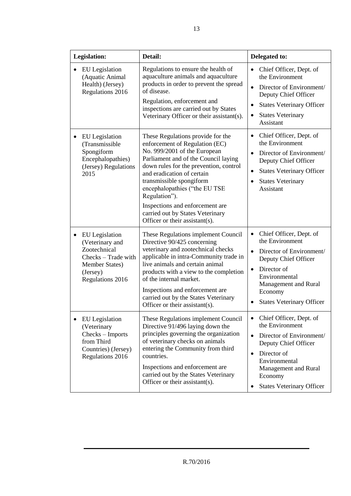| Legislation:                                                                                                                           | Detail:                                                                                                                                                                                                                                                                                                                                                                                                    | Delegated to:                                                                                                                                                                                                                                |
|----------------------------------------------------------------------------------------------------------------------------------------|------------------------------------------------------------------------------------------------------------------------------------------------------------------------------------------------------------------------------------------------------------------------------------------------------------------------------------------------------------------------------------------------------------|----------------------------------------------------------------------------------------------------------------------------------------------------------------------------------------------------------------------------------------------|
| EU Legislation<br>(Aquatic Animal<br>Health) (Jersey)<br>Regulations 2016                                                              | Regulations to ensure the health of<br>aquaculture animals and aquaculture<br>products in order to prevent the spread<br>of disease.<br>Regulation, enforcement and<br>inspections are carried out by States<br>Veterinary Officer or their assistant(s).                                                                                                                                                  | Chief Officer, Dept. of<br>the Environment<br>Director of Environment/<br>$\bullet$<br>Deputy Chief Officer<br><b>States Veterinary Officer</b><br><b>States Veterinary</b><br>Assistant                                                     |
| EU Legislation<br>(Transmissible<br>Spongiform<br>Encephalopathies)<br>(Jersey) Regulations<br>2015                                    | These Regulations provide for the<br>enforcement of Regulation (EC)<br>No. 999/2001 of the European<br>Parliament and of the Council laying<br>down rules for the prevention, control<br>and eradication of certain<br>transmissible spongiform<br>encephalopathies ("the EU TSE<br>Regulation").<br>Inspections and enforcement are<br>carried out by States Veterinary<br>Officer or their assistant(s). | Chief Officer, Dept. of<br>٠<br>the Environment<br>Director of Environment/<br>$\bullet$<br>Deputy Chief Officer<br><b>States Veterinary Officer</b><br>$\bullet$<br><b>States Veterinary</b><br>٠<br>Assistant                              |
| <b>EU</b> Legislation<br>٠<br>(Veterinary and<br>Zootechnical<br>Checks – Trade with<br>Member States)<br>(Jersey)<br>Regulations 2016 | These Regulations implement Council<br>Directive 90/425 concerning<br>veterinary and zootechnical checks<br>applicable in intra-Community trade in<br>live animals and certain animal<br>products with a view to the completion<br>of the internal market.<br>Inspections and enforcement are<br>carried out by the States Veterinary<br>Officer or their assistant(s).                                    | Chief Officer, Dept. of<br>the Environment<br>Director of Environment/<br>Deputy Chief Officer<br>Director of<br>$\bullet$<br>Environmental<br>Management and Rural<br>Economy<br><b>States Veterinary Officer</b>                           |
| <b>EU</b> Legislation<br>(Veterinary<br>Checks - Imports<br>from Third<br>Countries) (Jersey)<br>Regulations 2016                      | These Regulations implement Council<br>Directive 91/496 laying down the<br>principles governing the organization<br>of veterinary checks on animals<br>entering the Community from third<br>countries.<br>Inspections and enforcement are<br>carried out by the States Veterinary<br>Officer or their assistant(s).                                                                                        | Chief Officer, Dept. of<br>$\bullet$<br>the Environment<br>Director of Environment/<br>$\bullet$<br>Deputy Chief Officer<br>Director of<br>$\bullet$<br>Environmental<br>Management and Rural<br>Economy<br><b>States Veterinary Officer</b> |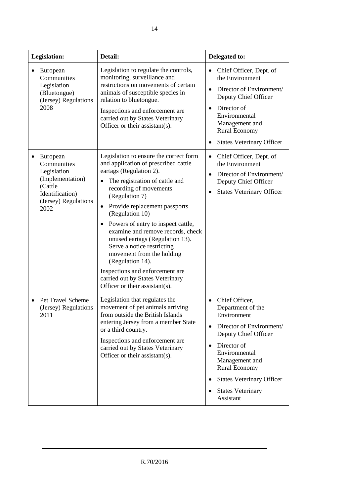| <b>Legislation:</b> |                                                                                                                          | Detail:                                                                                                                                                                                                                                                                                                                                                                                                                                                                                                                                                             | Delegated to:                                                                                                                                                                                                                                                                                        |
|---------------------|--------------------------------------------------------------------------------------------------------------------------|---------------------------------------------------------------------------------------------------------------------------------------------------------------------------------------------------------------------------------------------------------------------------------------------------------------------------------------------------------------------------------------------------------------------------------------------------------------------------------------------------------------------------------------------------------------------|------------------------------------------------------------------------------------------------------------------------------------------------------------------------------------------------------------------------------------------------------------------------------------------------------|
|                     | European<br>Communities<br>Legislation<br>(Bluetongue)<br>(Jersey) Regulations<br>2008                                   | Legislation to regulate the controls,<br>monitoring, surveillance and<br>restrictions on movements of certain<br>animals of susceptible species in<br>relation to bluetongue.<br>Inspections and enforcement are<br>carried out by States Veterinary<br>Officer or their assistant(s).                                                                                                                                                                                                                                                                              | Chief Officer, Dept. of<br>the Environment<br>Director of Environment/<br>Deputy Chief Officer<br>Director of<br>Environmental<br>Management and<br><b>Rural Economy</b><br><b>States Veterinary Officer</b>                                                                                         |
|                     | European<br>Communities<br>Legislation<br>(Implementation)<br>(Cattle<br>Identification)<br>(Jersey) Regulations<br>2002 | Legislation to ensure the correct form<br>and application of prescribed cattle<br>eartags (Regulation 2).<br>The registration of cattle and<br>recording of movements<br>(Regulation 7)<br>Provide replacement passports<br>٠<br>(Regulation 10)<br>Powers of entry to inspect cattle,<br>$\bullet$<br>examine and remove records, check<br>unused eartags (Regulation 13).<br>Serve a notice restricting<br>movement from the holding<br>(Regulation 14).<br>Inspections and enforcement are<br>carried out by States Veterinary<br>Officer or their assistant(s). | Chief Officer, Dept. of<br>٠<br>the Environment<br>Director of Environment/<br>$\bullet$<br>Deputy Chief Officer<br><b>States Veterinary Officer</b>                                                                                                                                                 |
|                     | Pet Travel Scheme<br>(Jersey) Regulations<br>2011                                                                        | Legislation that regulates the<br>movement of pet animals arriving<br>from outside the British Islands<br>entering Jersey from a member State<br>or a third country.<br>Inspections and enforcement are<br>carried out by States Veterinary<br>Officer or their assistant(s).                                                                                                                                                                                                                                                                                       | Chief Officer,<br>Department of the<br>Environment<br>Director of Environment/<br>$\bullet$<br>Deputy Chief Officer<br>Director of<br>Environmental<br>Management and<br><b>Rural Economy</b><br><b>States Veterinary Officer</b><br>$\bullet$<br><b>States Veterinary</b><br>$\bullet$<br>Assistant |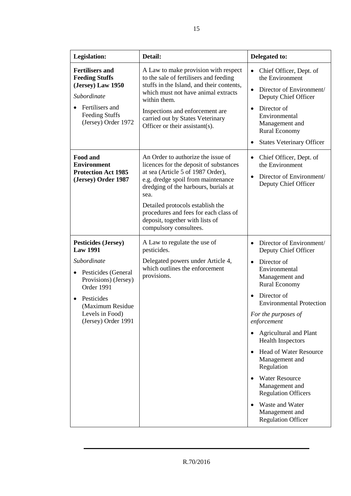| <b>Legislation:</b>                                                                                                                                                                                   | Detail:                                                                                                                                                                                                                                                                                                                                           | Delegated to:                                                                                                                                                                                                                                                                                                                                                                                                                                                                                                                                   |
|-------------------------------------------------------------------------------------------------------------------------------------------------------------------------------------------------------|---------------------------------------------------------------------------------------------------------------------------------------------------------------------------------------------------------------------------------------------------------------------------------------------------------------------------------------------------|-------------------------------------------------------------------------------------------------------------------------------------------------------------------------------------------------------------------------------------------------------------------------------------------------------------------------------------------------------------------------------------------------------------------------------------------------------------------------------------------------------------------------------------------------|
| <b>Fertilisers and</b><br><b>Feeding Stuffs</b><br>(Jersey) Law 1950<br>Subordinate<br>Fertilisers and<br><b>Feeding Stuffs</b><br>(Jersey) Order 1972                                                | A Law to make provision with respect<br>to the sale of fertilisers and feeding<br>stuffs in the Island, and their contents,<br>which must not have animal extracts<br>within them.<br>Inspections and enforcement are<br>carried out by States Veterinary<br>Officer or their assistant(s).                                                       | Chief Officer, Dept. of<br>the Environment<br>Director of Environment/<br>$\bullet$<br>Deputy Chief Officer<br>Director of<br>$\bullet$<br>Environmental<br>Management and<br><b>Rural Economy</b><br><b>States Veterinary Officer</b>                                                                                                                                                                                                                                                                                                          |
| Food and<br><b>Environment</b><br><b>Protection Act 1985</b><br>(Jersey) Order 1987                                                                                                                   | An Order to authorize the issue of<br>licences for the deposit of substances<br>at sea (Article 5 of 1987 Order),<br>e.g. dredge spoil from maintenance<br>dredging of the harbours, burials at<br>sea.<br>Detailed protocols establish the<br>procedures and fees for each class of<br>deposit, together with lists of<br>compulsory consultees. | Chief Officer, Dept. of<br>$\bullet$<br>the Environment<br>Director of Environment/<br>$\bullet$<br>Deputy Chief Officer                                                                                                                                                                                                                                                                                                                                                                                                                        |
| <b>Pesticides (Jersey)</b><br><b>Law 1991</b><br>Subordinate<br>Pesticides (General<br>Provisions) (Jersey)<br>Order 1991<br>Pesticides<br>(Maximum Residue<br>Levels in Food)<br>(Jersey) Order 1991 | A Law to regulate the use of<br>pesticides.<br>Delegated powers under Article 4,<br>which outlines the enforcement<br>provisions.                                                                                                                                                                                                                 | Director of Environment/<br>Deputy Chief Officer<br>Director of<br>$\bullet$<br>Environmental<br>Management and<br><b>Rural Economy</b><br>Director of<br>$\bullet$<br><b>Environmental Protection</b><br>For the purposes of<br>enforcement<br><b>Agricultural and Plant</b><br><b>Health Inspectors</b><br><b>Head of Water Resource</b><br>$\bullet$<br>Management and<br>Regulation<br><b>Water Resource</b><br>$\bullet$<br>Management and<br><b>Regulation Officers</b><br>Waste and Water<br>Management and<br><b>Regulation Officer</b> |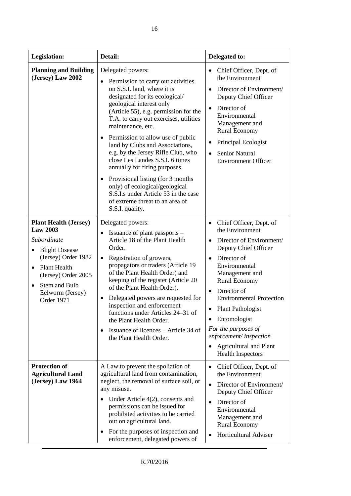| Legislation:                                                                                                                                                                                                    | Detail:                                                                                                                                                                                                                                                                                                                                                                                                                                                                                                                                                                                                              | Delegated to:                                                                                                                                                                                                                                                                                                                                                                                                                                  |
|-----------------------------------------------------------------------------------------------------------------------------------------------------------------------------------------------------------------|----------------------------------------------------------------------------------------------------------------------------------------------------------------------------------------------------------------------------------------------------------------------------------------------------------------------------------------------------------------------------------------------------------------------------------------------------------------------------------------------------------------------------------------------------------------------------------------------------------------------|------------------------------------------------------------------------------------------------------------------------------------------------------------------------------------------------------------------------------------------------------------------------------------------------------------------------------------------------------------------------------------------------------------------------------------------------|
| <b>Planning and Building</b><br>(Jersey) Law 2002                                                                                                                                                               | Delegated powers:<br>Permission to carry out activities<br>on S.S.I. land, where it is<br>designated for its ecological/<br>geological interest only<br>(Article 55), e.g. permission for the<br>T.A. to carry out exercises, utilities<br>maintenance, etc.<br>Permission to allow use of public<br>land by Clubs and Associations,<br>e.g. by the Jersey Rifle Club, who<br>close Les Landes S.S.I. 6 times<br>annually for firing purposes.<br>Provisional listing (for 3 months)<br>only) of ecological/geological<br>S.S.I.s under Article 53 in the case<br>of extreme threat to an area of<br>S.S.I. quality. | Chief Officer, Dept. of<br>the Environment<br>Director of Environment/<br>$\bullet$<br>Deputy Chief Officer<br>Director of<br>$\bullet$<br>Environmental<br>Management and<br><b>Rural Economy</b><br>Principal Ecologist<br>٠<br><b>Senior Natural</b><br>$\bullet$<br><b>Environment Officer</b>                                                                                                                                             |
| <b>Plant Health (Jersey)</b><br><b>Law 2003</b><br>Subordinate<br><b>Blight Disease</b><br>(Jersey) Order 1982<br>Plant Health<br>(Jersey) Order 2005<br>Stem and Bulb<br>Eelworm (Jersey)<br><b>Order 1971</b> | Delegated powers:<br>Issuance of plant passports –<br>Article 18 of the Plant Health<br>Order.<br>Registration of growers,<br>$\bullet$<br>propagators or traders (Article 19<br>of the Plant Health Order) and<br>keeping of the register (Article 20<br>of the Plant Health Order).<br>Delegated powers are requested for<br>inspection and enforcement<br>functions under Articles 24–31 of<br>the Plant Health Order.<br>Issuance of licences – Article 34 of<br>the Plant Health Order.                                                                                                                         | Chief Officer, Dept. of<br>$\bullet$<br>the Environment<br>Director of Environment/<br>$\bullet$<br>Deputy Chief Officer<br>Director of<br>$\bullet$<br>Environmental<br>Management and<br><b>Rural Economy</b><br>Director of<br>$\bullet$<br><b>Environmental Protection</b><br><b>Plant Pathologist</b><br>$\bullet$<br>Entomologist<br>For the purposes of<br>enforcement/inspection<br>Agricultural and Plant<br><b>Health Inspectors</b> |
| <b>Protection of</b><br><b>Agricultural Land</b><br>(Jersey) Law 1964                                                                                                                                           | A Law to prevent the spoliation of<br>agricultural land from contamination,<br>neglect, the removal of surface soil, or<br>any misuse.<br>Under Article $4(2)$ , consents and<br>$\bullet$<br>permissions can be issued for<br>prohibited activities to be carried<br>out on agricultural land.<br>For the purposes of inspection and<br>$\bullet$<br>enforcement, delegated powers of                                                                                                                                                                                                                               | Chief Officer, Dept. of<br>$\bullet$<br>the Environment<br>Director of Environment/<br>$\bullet$<br>Deputy Chief Officer<br>Director of<br>$\bullet$<br>Environmental<br>Management and<br><b>Rural Economy</b><br>Horticultural Adviser                                                                                                                                                                                                       |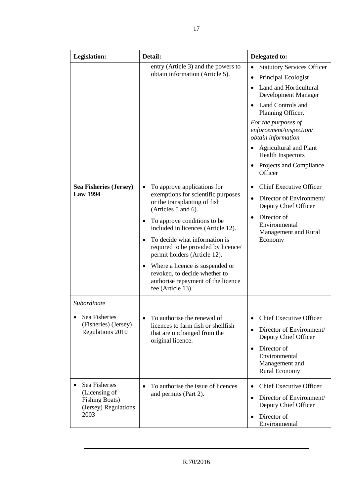| <b>Legislation:</b>                                                                     | Detail:                                                                                                                                                                                                                                                                                                                                                                                                                                    | Delegated to:                                                                                                                                                                                                                                                                                                                  |
|-----------------------------------------------------------------------------------------|--------------------------------------------------------------------------------------------------------------------------------------------------------------------------------------------------------------------------------------------------------------------------------------------------------------------------------------------------------------------------------------------------------------------------------------------|--------------------------------------------------------------------------------------------------------------------------------------------------------------------------------------------------------------------------------------------------------------------------------------------------------------------------------|
|                                                                                         | entry (Article 3) and the powers to<br>obtain information (Article 5).                                                                                                                                                                                                                                                                                                                                                                     | <b>Statutory Services Officer</b><br>Principal Ecologist<br>Land and Horticultural<br>Development Manager<br><b>Land Controls and</b><br>Planning Officer.<br>For the purposes of<br>enforcement/inspection/<br>obtain information<br>Agricultural and Plant<br><b>Health Inspectors</b><br>Projects and Compliance<br>Officer |
| <b>Sea Fisheries (Jersey)</b><br><b>Law 1994</b>                                        | To approve applications for<br>exemptions for scientific purposes<br>or the transplanting of fish<br>(Articles 5 and 6).<br>To approve conditions to be.<br>٠<br>included in licences (Article 12).<br>To decide what information is<br>required to be provided by licence/<br>permit holders (Article 12).<br>Where a licence is suspended or<br>revoked, to decide whether to<br>authorise repayment of the licence<br>fee (Article 13). | <b>Chief Executive Officer</b><br>Director of Environment/<br>$\bullet$<br>Deputy Chief Officer<br>Director of<br>$\bullet$<br>Environmental<br>Management and Rural<br>Economy                                                                                                                                                |
| Subordinate<br>Sea Fisheries<br>$\bullet$<br>(Fisheries) (Jersey)<br>Regulations 2010   | To authorise the renewal of<br>licences to farm fish or shellfish<br>that are unchanged from the<br>original licence.                                                                                                                                                                                                                                                                                                                      | <b>Chief Executive Officer</b><br>Director of Environment/<br>$\bullet$<br>Deputy Chief Officer<br>Director of<br>$\bullet$<br>Environmental<br>Management and<br><b>Rural Economy</b>                                                                                                                                         |
| Sea Fisheries<br>(Licensing of<br><b>Fishing Boats)</b><br>(Jersey) Regulations<br>2003 | To authorise the issue of licences<br>and permits (Part 2).                                                                                                                                                                                                                                                                                                                                                                                | <b>Chief Executive Officer</b><br>$\bullet$<br>Director of Environment/<br>$\bullet$<br>Deputy Chief Officer<br>Director of<br>Environmental                                                                                                                                                                                   |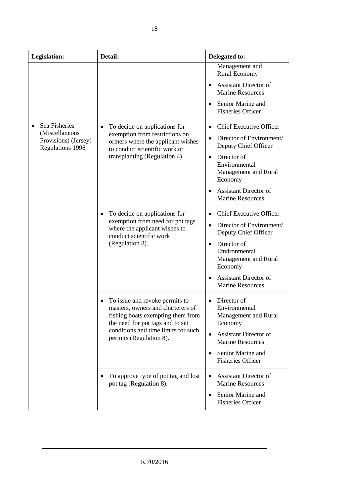| <b>Legislation:</b>                                     | Detail:                                                                                                                                                                | Delegated to:                                                                                        |
|---------------------------------------------------------|------------------------------------------------------------------------------------------------------------------------------------------------------------------------|------------------------------------------------------------------------------------------------------|
|                                                         |                                                                                                                                                                        | Management and<br><b>Rural Economy</b>                                                               |
|                                                         |                                                                                                                                                                        | <b>Assistant Director of</b><br><b>Marine Resources</b>                                              |
|                                                         |                                                                                                                                                                        | Senior Marine and<br><b>Fisheries Officer</b>                                                        |
| Sea Fisheries<br>(Miscellaneous<br>Provisions) (Jersey) | To decide on applications for<br>exemption from restrictions on<br>ormers where the applicant wishes<br>to conduct scientific work or<br>transplanting (Regulation 4). | <b>Chief Executive Officer</b><br>Director of Environment/<br>$\bullet$                              |
| <b>Regulations 1998</b>                                 |                                                                                                                                                                        | Deputy Chief Officer<br>Director of<br>$\bullet$<br>Environmental<br>Management and Rural<br>Economy |
|                                                         |                                                                                                                                                                        | <b>Assistant Director of</b><br><b>Marine Resources</b>                                              |
|                                                         | To decide on applications for                                                                                                                                          | <b>Chief Executive Officer</b>                                                                       |
|                                                         | exemption from need for pot tags<br>where the applicant wishes to<br>conduct scientific work<br>(Regulation 8).                                                        | Director of Environment/<br>Deputy Chief Officer                                                     |
|                                                         |                                                                                                                                                                        | Director of<br>$\bullet$<br>Environmental<br>Management and Rural<br>Economy                         |
|                                                         |                                                                                                                                                                        | <b>Assistant Director of</b><br><b>Marine Resources</b>                                              |
|                                                         | To issue and revoke permits to<br>masters, owners and charterers of<br>fishing boats exempting them from<br>the need for pot tags and to set                           | Director of<br>$\bullet$<br>Environmental<br>Management and Rural<br>Economy                         |
|                                                         | conditions and time limits for such<br>permits (Regulation 8).                                                                                                         | <b>Assistant Director of</b><br>$\bullet$<br><b>Marine Resources</b>                                 |
|                                                         |                                                                                                                                                                        | Senior Marine and<br><b>Fisheries Officer</b>                                                        |
|                                                         | To approve type of pot tag and lost<br>pot tag (Regulation 8).                                                                                                         | <b>Assistant Director of</b><br><b>Marine Resources</b>                                              |
|                                                         |                                                                                                                                                                        | Senior Marine and<br><b>Fisheries Officer</b>                                                        |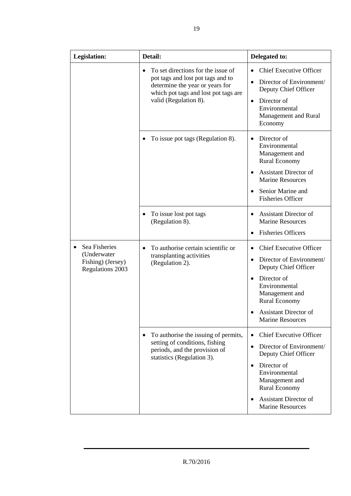| Legislation:                                                          | Detail:                                                                                                                                                                     | Delegated to:                                                                                                                                                                                                                              |
|-----------------------------------------------------------------------|-----------------------------------------------------------------------------------------------------------------------------------------------------------------------------|--------------------------------------------------------------------------------------------------------------------------------------------------------------------------------------------------------------------------------------------|
|                                                                       | To set directions for the issue of<br>pot tags and lost pot tags and to<br>determine the year or years for<br>which pot tags and lost pot tags are<br>valid (Regulation 8). | <b>Chief Executive Officer</b><br>Director of Environment/<br>Deputy Chief Officer<br>Director of<br>$\bullet$<br>Environmental<br>Management and Rural<br>Economy                                                                         |
|                                                                       | To issue pot tags (Regulation 8).                                                                                                                                           | Director of<br>Environmental<br>Management and<br><b>Rural Economy</b><br><b>Assistant Director of</b><br><b>Marine Resources</b><br>Senior Marine and<br><b>Fisheries Officer</b>                                                         |
|                                                                       | To issue lost pot tags<br>(Regulation 8).                                                                                                                                   | <b>Assistant Director of</b><br><b>Marine Resources</b><br><b>Fisheries Officers</b>                                                                                                                                                       |
| Sea Fisheries<br>(Underwater<br>Fishing) (Jersey)<br>Regulations 2003 | To authorise certain scientific or<br>transplanting activities<br>(Regulation 2).                                                                                           | <b>Chief Executive Officer</b><br>Director of Environment/<br>Deputy Chief Officer<br>Director of<br>$\bullet$<br>Environmental<br>Management and<br><b>Rural Economy</b><br><b>Assistant Director of</b><br><b>Marine Resources</b>       |
|                                                                       | To authorise the issuing of permits,<br>٠<br>setting of conditions, fishing<br>periods, and the provision of<br>statistics (Regulation 3).                                  | <b>Chief Executive Officer</b><br>Director of Environment/<br>$\bullet$<br>Deputy Chief Officer<br>Director of<br>$\bullet$<br>Environmental<br>Management and<br>Rural Economy<br><b>Assistant Director of</b><br><b>Marine Resources</b> |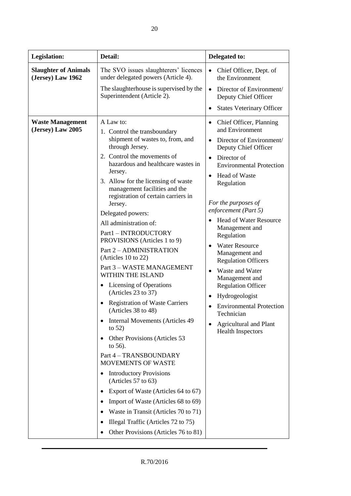| Legislation:                                     | Detail:                                                                                                                                                                                                                                                                                                                                                                                                                                                                                                                                                                                                                                                                                                                                                                                                                                                                                                                                          | Delegated to:                                                                                                                                                                                                                                                                                                                                                                                                                                                                                                                                                                         |
|--------------------------------------------------|--------------------------------------------------------------------------------------------------------------------------------------------------------------------------------------------------------------------------------------------------------------------------------------------------------------------------------------------------------------------------------------------------------------------------------------------------------------------------------------------------------------------------------------------------------------------------------------------------------------------------------------------------------------------------------------------------------------------------------------------------------------------------------------------------------------------------------------------------------------------------------------------------------------------------------------------------|---------------------------------------------------------------------------------------------------------------------------------------------------------------------------------------------------------------------------------------------------------------------------------------------------------------------------------------------------------------------------------------------------------------------------------------------------------------------------------------------------------------------------------------------------------------------------------------|
| <b>Slaughter of Animals</b><br>(Jersey) Law 1962 | The SVO issues slaughterers' licences<br>under delegated powers (Article 4).                                                                                                                                                                                                                                                                                                                                                                                                                                                                                                                                                                                                                                                                                                                                                                                                                                                                     | Chief Officer, Dept. of<br>$\bullet$<br>the Environment                                                                                                                                                                                                                                                                                                                                                                                                                                                                                                                               |
|                                                  | The slaughterhouse is supervised by the<br>Superintendent (Article 2).                                                                                                                                                                                                                                                                                                                                                                                                                                                                                                                                                                                                                                                                                                                                                                                                                                                                           | Director of Environment/<br>Deputy Chief Officer                                                                                                                                                                                                                                                                                                                                                                                                                                                                                                                                      |
|                                                  |                                                                                                                                                                                                                                                                                                                                                                                                                                                                                                                                                                                                                                                                                                                                                                                                                                                                                                                                                  | <b>States Veterinary Officer</b>                                                                                                                                                                                                                                                                                                                                                                                                                                                                                                                                                      |
| <b>Waste Management</b><br>(Jersey) Law 2005     | A Law to:<br>1. Control the transboundary<br>shipment of wastes to, from, and<br>through Jersey.<br>2. Control the movements of<br>hazardous and healthcare wastes in<br>Jersey.<br>3. Allow for the licensing of waste<br>management facilities and the<br>registration of certain carriers in<br>Jersey.<br>Delegated powers:<br>All administration of:<br>Part1 - INTRODUCTORY<br>PROVISIONS (Articles 1 to 9)<br>Part 2 - ADMINISTRATION<br>(Articles $10$ to $22$ )<br>Part 3 - WASTE MANAGEMENT<br>WITHIN THE ISLAND<br><b>Licensing of Operations</b><br>(Articles 23 to 37)<br><b>Registration of Waste Carriers</b><br>(Articles 38 to 48)<br>Internal Movements (Articles 49)<br>to $52)$<br>Other Provisions (Articles 53<br>to $56$ ).<br>Part 4 - TRANSBOUNDARY<br><b>MOVEMENTS OF WASTE</b><br><b>Introductory Provisions</b><br>(Articles 57 to 63)<br>Export of Waste (Articles 64 to 67)<br>Import of Waste (Articles 68 to 69) | Chief Officer, Planning<br>٠<br>and Environment<br>Director of Environment/<br>Deputy Chief Officer<br>Director of<br><b>Environmental Protection</b><br>Head of Waste<br>$\bullet$<br>Regulation<br>For the purposes of<br>enforcement (Part 5)<br><b>Head of Water Resource</b><br>Management and<br>Regulation<br><b>Water Resource</b><br>Management and<br><b>Regulation Officers</b><br>Waste and Water<br>Management and<br><b>Regulation Officer</b><br>Hydrogeologist<br><b>Environmental Protection</b><br>Technician<br>Agricultural and Plant<br><b>Health Inspectors</b> |
|                                                  | Waste in Transit (Articles 70 to 71)                                                                                                                                                                                                                                                                                                                                                                                                                                                                                                                                                                                                                                                                                                                                                                                                                                                                                                             |                                                                                                                                                                                                                                                                                                                                                                                                                                                                                                                                                                                       |

T

• Illegal Traffic (Articles 72 to 75) • Other Provisions (Articles 76 to 81)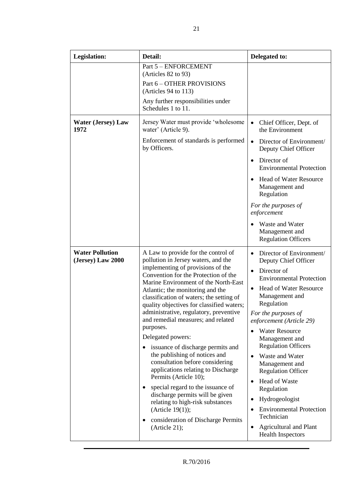| Legislation:                                | Detail:                                                                                                                                                                                                                                                                                                                                                                                                                                                                                                                                                                                                                                                                                                                                                                                                          | Delegated to:                                                                                                                                                                                                                                                                                                                                                                                                                                                                                                                                                                       |
|---------------------------------------------|------------------------------------------------------------------------------------------------------------------------------------------------------------------------------------------------------------------------------------------------------------------------------------------------------------------------------------------------------------------------------------------------------------------------------------------------------------------------------------------------------------------------------------------------------------------------------------------------------------------------------------------------------------------------------------------------------------------------------------------------------------------------------------------------------------------|-------------------------------------------------------------------------------------------------------------------------------------------------------------------------------------------------------------------------------------------------------------------------------------------------------------------------------------------------------------------------------------------------------------------------------------------------------------------------------------------------------------------------------------------------------------------------------------|
|                                             | Part 5 - ENFORCEMENT<br>(Articles 82 to 93)<br>Part 6 - OTHER PROVISIONS                                                                                                                                                                                                                                                                                                                                                                                                                                                                                                                                                                                                                                                                                                                                         |                                                                                                                                                                                                                                                                                                                                                                                                                                                                                                                                                                                     |
|                                             | (Articles 94 to 113)                                                                                                                                                                                                                                                                                                                                                                                                                                                                                                                                                                                                                                                                                                                                                                                             |                                                                                                                                                                                                                                                                                                                                                                                                                                                                                                                                                                                     |
|                                             | Any further responsibilities under<br>Schedules 1 to 11.                                                                                                                                                                                                                                                                                                                                                                                                                                                                                                                                                                                                                                                                                                                                                         |                                                                                                                                                                                                                                                                                                                                                                                                                                                                                                                                                                                     |
| <b>Water (Jersey) Law</b><br>1972           | Jersey Water must provide 'wholesome<br>water' (Article 9).                                                                                                                                                                                                                                                                                                                                                                                                                                                                                                                                                                                                                                                                                                                                                      | $\bullet$<br>Chief Officer, Dept. of<br>the Environment                                                                                                                                                                                                                                                                                                                                                                                                                                                                                                                             |
|                                             | Enforcement of standards is performed<br>by Officers.                                                                                                                                                                                                                                                                                                                                                                                                                                                                                                                                                                                                                                                                                                                                                            | Director of Environment/<br>$\bullet$<br>Deputy Chief Officer                                                                                                                                                                                                                                                                                                                                                                                                                                                                                                                       |
|                                             |                                                                                                                                                                                                                                                                                                                                                                                                                                                                                                                                                                                                                                                                                                                                                                                                                  | Director of<br><b>Environmental Protection</b>                                                                                                                                                                                                                                                                                                                                                                                                                                                                                                                                      |
|                                             |                                                                                                                                                                                                                                                                                                                                                                                                                                                                                                                                                                                                                                                                                                                                                                                                                  | <b>Head of Water Resource</b><br>Management and<br>Regulation                                                                                                                                                                                                                                                                                                                                                                                                                                                                                                                       |
|                                             |                                                                                                                                                                                                                                                                                                                                                                                                                                                                                                                                                                                                                                                                                                                                                                                                                  | For the purposes of<br>enforcement                                                                                                                                                                                                                                                                                                                                                                                                                                                                                                                                                  |
|                                             |                                                                                                                                                                                                                                                                                                                                                                                                                                                                                                                                                                                                                                                                                                                                                                                                                  | Waste and Water<br>Management and<br><b>Regulation Officers</b>                                                                                                                                                                                                                                                                                                                                                                                                                                                                                                                     |
| <b>Water Pollution</b><br>(Jersey) Law 2000 | A Law to provide for the control of<br>pollution in Jersey waters, and the<br>implementing of provisions of the<br>Convention for the Protection of the<br>Marine Environment of the North-East<br>Atlantic; the monitoring and the<br>classification of waters; the setting of<br>quality objectives for classified waters;<br>administrative, regulatory, preventive<br>and remedial measures; and related<br>purposes.<br>Delegated powers:<br>issuance of discharge permits and<br>the publishing of notices and<br>consultation before considering<br>applications relating to Discharge<br>Permits (Article 10);<br>special regard to the issuance of<br>discharge permits will be given<br>relating to high-risk substances<br>(Article $19(1)$ );<br>consideration of Discharge Permits<br>(Article 21); | Director of Environment/<br>Deputy Chief Officer<br>Director of<br>$\bullet$<br><b>Environmental Protection</b><br>Head of Water Resource<br>$\bullet$<br>Management and<br>Regulation<br>For the purposes of<br>enforcement (Article 29)<br><b>Water Resource</b><br>Management and<br><b>Regulation Officers</b><br>Waste and Water<br>Management and<br><b>Regulation Officer</b><br>Head of Waste<br>$\bullet$<br>Regulation<br>Hydrogeologist<br><b>Environmental Protection</b><br>$\bullet$<br>Technician<br>Agricultural and Plant<br>$\bullet$<br><b>Health Inspectors</b> |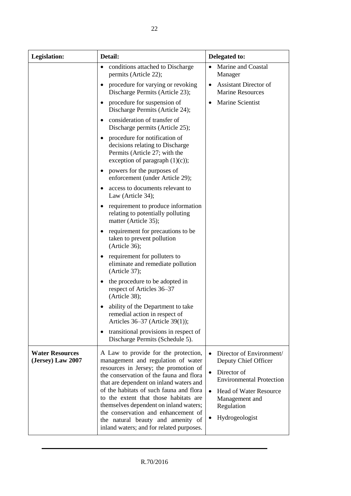| Legislation:                                | Detail:                                                                                                                                                                                                                                                                                                                                                                                                                                                         | Delegated to:                                                                                                                                                                                                        |
|---------------------------------------------|-----------------------------------------------------------------------------------------------------------------------------------------------------------------------------------------------------------------------------------------------------------------------------------------------------------------------------------------------------------------------------------------------------------------------------------------------------------------|----------------------------------------------------------------------------------------------------------------------------------------------------------------------------------------------------------------------|
|                                             | conditions attached to Discharge<br>٠<br>permits (Article 22);                                                                                                                                                                                                                                                                                                                                                                                                  | Marine and Coastal<br>Manager                                                                                                                                                                                        |
|                                             | procedure for varying or revoking<br>Discharge Permits (Article 23);                                                                                                                                                                                                                                                                                                                                                                                            | <b>Assistant Director of</b><br>$\bullet$<br><b>Marine Resources</b>                                                                                                                                                 |
|                                             | procedure for suspension of<br>Discharge Permits (Article 24);                                                                                                                                                                                                                                                                                                                                                                                                  | Marine Scientist<br>$\bullet$                                                                                                                                                                                        |
|                                             | consideration of transfer of<br>Discharge permits (Article 25);                                                                                                                                                                                                                                                                                                                                                                                                 |                                                                                                                                                                                                                      |
|                                             | procedure for notification of<br>decisions relating to Discharge<br>Permits (Article 27; with the<br>exception of paragraph $(1)(c)$ ;                                                                                                                                                                                                                                                                                                                          |                                                                                                                                                                                                                      |
|                                             | powers for the purposes of<br>enforcement (under Article 29);                                                                                                                                                                                                                                                                                                                                                                                                   |                                                                                                                                                                                                                      |
|                                             | access to documents relevant to<br>Law (Article 34);                                                                                                                                                                                                                                                                                                                                                                                                            |                                                                                                                                                                                                                      |
|                                             | requirement to produce information<br>relating to potentially polluting<br>matter (Article 35);                                                                                                                                                                                                                                                                                                                                                                 |                                                                                                                                                                                                                      |
|                                             | requirement for precautions to be<br>taken to prevent pollution<br>(Article 36);                                                                                                                                                                                                                                                                                                                                                                                |                                                                                                                                                                                                                      |
|                                             | requirement for polluters to<br>eliminate and remediate pollution<br>(Article 37);                                                                                                                                                                                                                                                                                                                                                                              |                                                                                                                                                                                                                      |
|                                             | the procedure to be adopted in<br>respect of Articles 36–37<br>(Article 38);                                                                                                                                                                                                                                                                                                                                                                                    |                                                                                                                                                                                                                      |
|                                             | ability of the Department to take<br>remedial action in respect of<br>Articles 36–37 (Article 39(1));                                                                                                                                                                                                                                                                                                                                                           |                                                                                                                                                                                                                      |
|                                             | transitional provisions in respect of<br>٠<br>Discharge Permits (Schedule 5).                                                                                                                                                                                                                                                                                                                                                                                   |                                                                                                                                                                                                                      |
| <b>Water Resources</b><br>(Jersey) Law 2007 | A Law to provide for the protection,<br>management and regulation of water<br>resources in Jersey; the promotion of<br>the conservation of the fauna and flora<br>that are dependent on inland waters and<br>of the habitats of such fauna and flora<br>to the extent that those habitats are<br>themselves dependent on inland waters;<br>the conservation and enhancement of<br>the natural beauty and amenity of<br>inland waters; and for related purposes. | Director of Environment/<br>Deputy Chief Officer<br>Director of<br>$\bullet$<br><b>Environmental Protection</b><br><b>Head of Water Resource</b><br>$\bullet$<br>Management and<br>Regulation<br>Hydrogeologist<br>٠ |